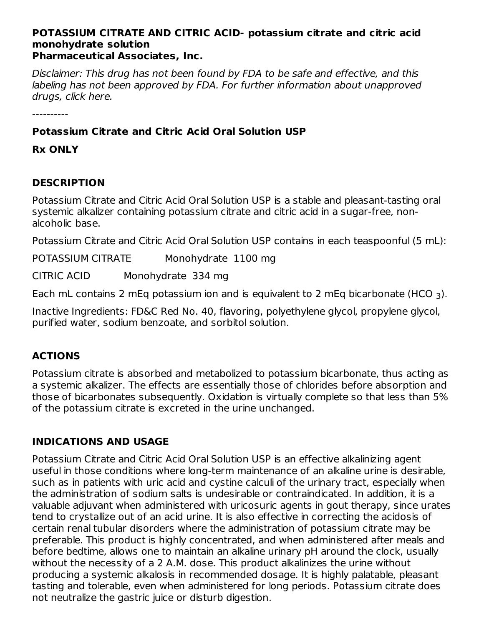#### **POTASSIUM CITRATE AND CITRIC ACID- potassium citrate and citric acid monohydrate solution Pharmaceutical Associates, Inc.**

Disclaimer: This drug has not been found by FDA to be safe and effective, and this labeling has not been approved by FDA. For further information about unapproved drugs, click here.

#### **Potassium Citrate and Citric Acid Oral Solution USP**

**Rx ONLY**

### **DESCRIPTION**

Potassium Citrate and Citric Acid Oral Solution USP is a stable and pleasant-tasting oral systemic alkalizer containing potassium citrate and citric acid in a sugar-free, nonalcoholic base.

Potassium Citrate and Citric Acid Oral Solution USP contains in each teaspoonful (5 mL):

POTASSIUM CITRATE Monohydrate 1100 mg

CITRIC ACID Monohydrate 334 mg

Each mL contains 2 mEq potassium ion and is equivalent to 2 mEq bicarbonate (HCO  $_3$ ).

Inactive Ingredients: FD&C Red No. 40, flavoring, polyethylene glycol, propylene glycol, purified water, sodium benzoate, and sorbitol solution.

# **ACTIONS**

Potassium citrate is absorbed and metabolized to potassium bicarbonate, thus acting as a systemic alkalizer. The effects are essentially those of chlorides before absorption and those of bicarbonates subsequently. Oxidation is virtually complete so that less than 5% of the potassium citrate is excreted in the urine unchanged.

# **INDICATIONS AND USAGE**

Potassium Citrate and Citric Acid Oral Solution USP is an effective alkalinizing agent useful in those conditions where long-term maintenance of an alkaline urine is desirable, such as in patients with uric acid and cystine calculi of the urinary tract, especially when the administration of sodium salts is undesirable or contraindicated. In addition, it is a valuable adjuvant when administered with uricosuric agents in gout therapy, since urates tend to crystallize out of an acid urine. It is also effective in correcting the acidosis of certain renal tubular disorders where the administration of potassium citrate may be preferable. This product is highly concentrated, and when administered after meals and before bedtime, allows one to maintain an alkaline urinary pH around the clock, usually without the necessity of a 2 A.M. dose. This product alkalinizes the urine without producing a systemic alkalosis in recommended dosage. It is highly palatable, pleasant tasting and tolerable, even when administered for long periods. Potassium citrate does not neutralize the gastric juice or disturb digestion.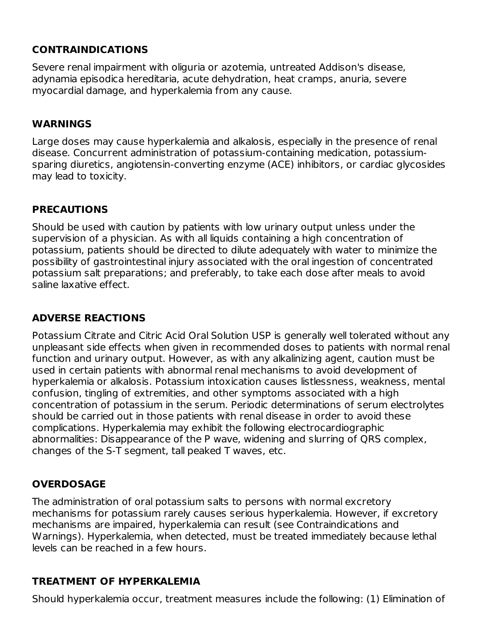#### **CONTRAINDICATIONS**

Severe renal impairment with oliguria or azotemia, untreated Addison's disease, adynamia episodica hereditaria, acute dehydration, heat cramps, anuria, severe myocardial damage, and hyperkalemia from any cause.

#### **WARNINGS**

Large doses may cause hyperkalemia and alkalosis, especially in the presence of renal disease. Concurrent administration of potassium-containing medication, potassiumsparing diuretics, angiotensin-converting enzyme (ACE) inhibitors, or cardiac glycosides may lead to toxicity.

#### **PRECAUTIONS**

Should be used with caution by patients with low urinary output unless under the supervision of a physician. As with all liquids containing a high concentration of potassium, patients should be directed to dilute adequately with water to minimize the possibility of gastrointestinal injury associated with the oral ingestion of concentrated potassium salt preparations; and preferably, to take each dose after meals to avoid saline laxative effect.

### **ADVERSE REACTIONS**

Potassium Citrate and Citric Acid Oral Solution USP is generally well tolerated without any unpleasant side effects when given in recommended doses to patients with normal renal function and urinary output. However, as with any alkalinizing agent, caution must be used in certain patients with abnormal renal mechanisms to avoid development of hyperkalemia or alkalosis. Potassium intoxication causes listlessness, weakness, mental confusion, tingling of extremities, and other symptoms associated with a high concentration of potassium in the serum. Periodic determinations of serum electrolytes should be carried out in those patients with renal disease in order to avoid these complications. Hyperkalemia may exhibit the following electrocardiographic abnormalities: Disappearance of the P wave, widening and slurring of QRS complex, changes of the S-T segment, tall peaked T waves, etc.

#### **OVERDOSAGE**

The administration of oral potassium salts to persons with normal excretory mechanisms for potassium rarely causes serious hyperkalemia. However, if excretory mechanisms are impaired, hyperkalemia can result (see Contraindications and Warnings). Hyperkalemia, when detected, must be treated immediately because lethal levels can be reached in a few hours.

#### **TREATMENT OF HYPERKALEMIA**

Should hyperkalemia occur, treatment measures include the following: (1) Elimination of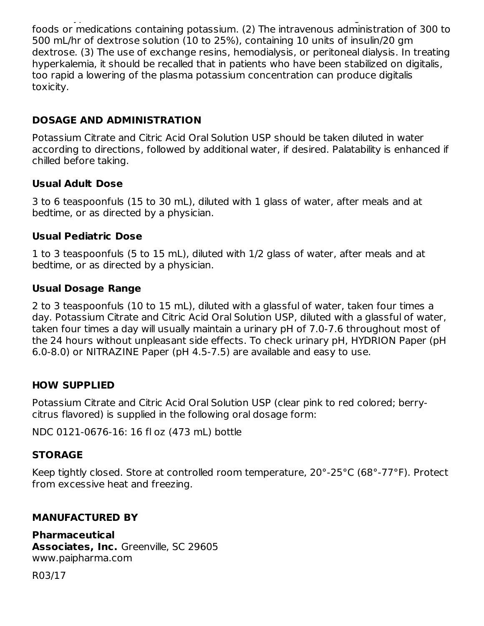Should hyperkalemia occur, treatment measures include the following: (1) Elimination of foods or medications containing potassium. (2) The intravenous administration of 300 to 500 mL/hr of dextrose solution (10 to 25%), containing 10 units of insulin/20 gm dextrose. (3) The use of exchange resins, hemodialysis, or peritoneal dialysis. In treating hyperkalemia, it should be recalled that in patients who have been stabilized on digitalis, too rapid a lowering of the plasma potassium concentration can produce digitalis toxicity.

### **DOSAGE AND ADMINISTRATION**

Potassium Citrate and Citric Acid Oral Solution USP should be taken diluted in water according to directions, followed by additional water, if desired. Palatability is enhanced if chilled before taking.

#### **Usual Adult Dose**

3 to 6 teaspoonfuls (15 to 30 mL), diluted with 1 glass of water, after meals and at bedtime, or as directed by a physician.

#### **Usual Pediatric Dose**

1 to 3 teaspoonfuls (5 to 15 mL), diluted with 1/2 glass of water, after meals and at bedtime, or as directed by a physician.

#### **Usual Dosage Range**

2 to 3 teaspoonfuls (10 to 15 mL), diluted with a glassful of water, taken four times a day. Potassium Citrate and Citric Acid Oral Solution USP, diluted with a glassful of water, taken four times a day will usually maintain a urinary pH of 7.0-7.6 throughout most of the 24 hours without unpleasant side effects. To check urinary pH, HYDRION Paper (pH 6.0-8.0) or NITRAZINE Paper (pH 4.5-7.5) are available and easy to use.

#### **HOW SUPPLIED**

Potassium Citrate and Citric Acid Oral Solution USP (clear pink to red colored; berrycitrus flavored) is supplied in the following oral dosage form:

NDC 0121-0676-16: 16 fl oz (473 mL) bottle

#### **STORAGE**

Keep tightly closed. Store at controlled room temperature, 20°-25°C (68°-77°F). Protect from excessive heat and freezing.

#### **MANUFACTURED BY**

**Pharmaceutical Associates, Inc.** Greenville, SC 29605 www.paipharma.com

R03/17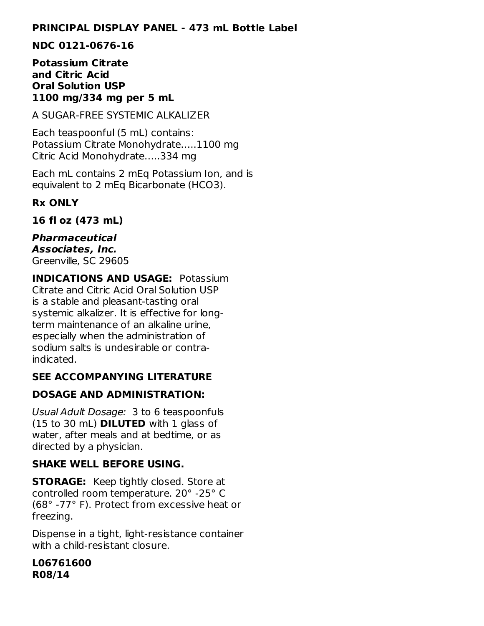#### **PRINCIPAL DISPLAY PANEL - 473 mL Bottle Label**

#### **NDC 0121-0676-16**

#### **Potassium Citrate and Citric Acid Oral Solution USP 1100 mg/334 mg per 5 mL**

A SUGAR-FREE SYSTEMIC ALKALIZER

Each teaspoonful (5 mL) contains: Potassium Citrate Monohydrate…..1100 mg Citric Acid Monohydrate…..334 mg

Each mL contains 2 mEq Potassium Ion, and is equivalent to 2 mEq Bicarbonate (HCO3).

#### **Rx ONLY**

**16 fl oz (473 mL)**

**Pharmaceutical Associates, Inc.** Greenville, SC 29605

**INDICATIONS AND USAGE:** Potassium Citrate and Citric Acid Oral Solution USP is a stable and pleasant-tasting oral systemic alkalizer. It is effective for longterm maintenance of an alkaline urine, especially when the administration of sodium salts is undesirable or contraindicated.

# **SEE ACCOMPANYING LITERATURE**

#### **DOSAGE AND ADMINISTRATION:**

Usual Adult Dosage: 3 to 6 teaspoonfuls (15 to 30 mL) **DILUTED** with 1 glass of water, after meals and at bedtime, or as directed by a physician.

#### **SHAKE WELL BEFORE USING.**

**STORAGE:** Keep tightly closed. Store at controlled room temperature. 20° -25° C (68° -77° F). Protect from excessive heat or freezing.

Dispense in a tight, light-resistance container with a child-resistant closure.

**L06761600 R08/14**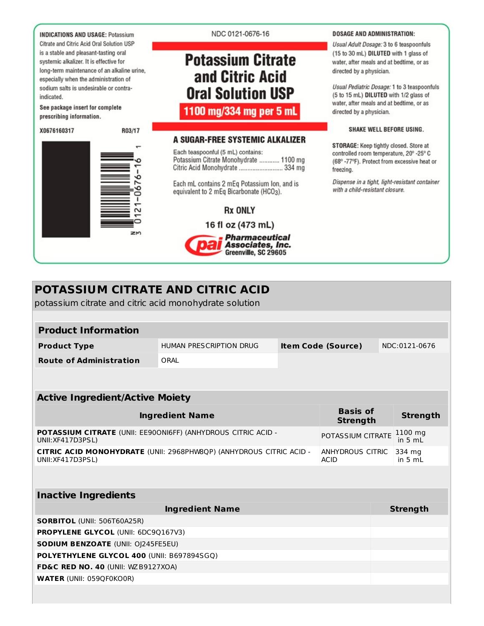**INDICATIONS AND USAGE: Potassium** Citrate and Citric Acid Oral Solution USP is a stable and pleasant-tasting oral systemic alkalizer. It is effective for long-term maintenance of an alkaline urine, especially when the administration of sodium salts is undesirable or contraindicated.

See package insert for complete prescribing information.

X0676160317

R03/17



#### NDC 0121-0676-16

# **Potassium Citrate** and Citric Acid **Oral Solution USP**

1100 mg/334 mg per 5 mL

#### A SUGAR-FREE SYSTEMIC ALKALIZER

Each teaspoonful (5 mL) contains: Potassium Citrate Monohydrate ........... 1100 mg Citric Acid Monohydrate .............................. 334 mg

Each mL contains 2 mEq Potassium Ion, and is equivalent to 2 mEq Bicarbonate (HCO<sub>3</sub>).

#### **Rx ONLY**

16 fl oz (473 mL) **Pharmaceutical** Associates, Inc. Greenville, SC 29605

#### **DOSAGE AND ADMINISTRATION:**

Usual Adult Dosage: 3 to 6 teaspoonfuls (15 to 30 mL) DILUTED with 1 glass of water, after meals and at bedtime, or as directed by a physician.

Usual Pediatric Dosage: 1 to 3 teaspoonfuls (5 to 15 mL) DILUTED with 1/2 glass of water, after meals and at bedtime, or as directed by a physician.

#### SHAKE WELL BEFORE USING.

STORAGE: Keep tightly closed. Store at controlled room temperature, 20° -25° C (68°-77°F). Protect from excessive heat or freezing.

Dispense in a tight, light-resistant container with a child-resistant closure.

| POTASSIUM CITRATE AND CITRIC ACID<br>potassium citrate and citric acid monohydrate solution                    |                         |  |                           |                     |
|----------------------------------------------------------------------------------------------------------------|-------------------------|--|---------------------------|---------------------|
|                                                                                                                |                         |  |                           |                     |
| <b>Product Information</b>                                                                                     |                         |  |                           |                     |
| <b>Product Type</b>                                                                                            | HUMAN PRESCRIPTION DRUG |  | <b>Item Code (Source)</b> | NDC:0121-0676       |
| <b>Route of Administration</b>                                                                                 | ORAL                    |  |                           |                     |
|                                                                                                                |                         |  |                           |                     |
| <b>Active Ingredient/Active Moiety</b>                                                                         |                         |  |                           |                     |
| <b>Basis of</b><br><b>Ingredient Name</b><br><b>Strength</b>                                                   |                         |  |                           | <b>Strength</b>     |
| <b>POTASSIUM CITRATE</b> (UNII: EE90ONI6FF) (ANHYDROUS CITRIC ACID -<br>POTASSIUM CITRATE<br>UNII: XF417D3PSL) |                         |  | 1100 mg<br>in $5 mL$      |                     |
| CITRIC ACID MONOHYDRATE (UNII: 2968PHW8QP) (ANHYDROUS CITRIC ACID -<br>UNII: XF417D3PSL)<br><b>ACID</b>        |                         |  | ANHYDROUS CITRIC          | 334 mg<br>in $5 mL$ |
|                                                                                                                |                         |  |                           |                     |
| <b>Inactive Ingredients</b>                                                                                    |                         |  |                           |                     |
|                                                                                                                | <b>Ingredient Name</b>  |  |                           | <b>Strength</b>     |
| <b>SORBITOL (UNII: 506T60A25R)</b>                                                                             |                         |  |                           |                     |
| <b>PROPYLENE GLYCOL (UNII: 6DC9Q167V3)</b>                                                                     |                         |  |                           |                     |
| <b>SODIUM BENZOATE (UNII: OI245FE5EU)</b>                                                                      |                         |  |                           |                     |
| POLYETHYLENE GLYCOL 400 (UNII: B697894SGQ)                                                                     |                         |  |                           |                     |
| FD&C RED NO. 40 (UNII: WZB9127XOA)                                                                             |                         |  |                           |                     |
| <b>WATER (UNII: 059QF0KO0R)</b>                                                                                |                         |  |                           |                     |
|                                                                                                                |                         |  |                           |                     |